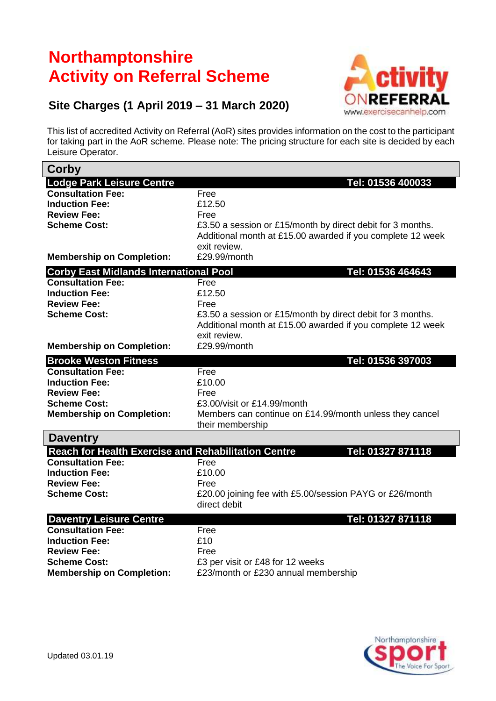## **Northamptonshire Activity on Referral Scheme**



## **Site Charges (1 April 2019 – 31 March 2020)**

This list of accredited Activity on Referral (AoR) sites provides information on the cost to the participant for taking part in the AoR scheme. Please note: The pricing structure for each site is decided by each Leisure Operator.

| Corby                                                      |                                                                         |
|------------------------------------------------------------|-------------------------------------------------------------------------|
| <b>Lodge Park Leisure Centre</b>                           | Tel: 01536 400033                                                       |
| <b>Consultation Fee:</b>                                   | Free                                                                    |
| <b>Induction Fee:</b>                                      | £12.50                                                                  |
| <b>Review Fee:</b>                                         | Free                                                                    |
| <b>Scheme Cost:</b>                                        | £3.50 a session or £15/month by direct debit for 3 months.              |
|                                                            | Additional month at £15.00 awarded if you complete 12 week              |
|                                                            | exit review.                                                            |
| <b>Membership on Completion:</b>                           | £29.99/month                                                            |
| <b>Corby East Midlands International Pool</b>              | Tel: 01536 464643                                                       |
| <b>Consultation Fee:</b>                                   | Free                                                                    |
| <b>Induction Fee:</b>                                      | £12.50                                                                  |
| <b>Review Fee:</b>                                         | Free                                                                    |
| <b>Scheme Cost:</b>                                        | £3.50 a session or £15/month by direct debit for 3 months.              |
|                                                            | Additional month at £15.00 awarded if you complete 12 week              |
|                                                            | exit review.                                                            |
| <b>Membership on Completion:</b>                           | £29.99/month                                                            |
| <b>Brooke Weston Fitness</b>                               | Tel: 01536 397003                                                       |
| <b>Consultation Fee:</b>                                   | Free                                                                    |
| <b>Induction Fee:</b>                                      | £10.00                                                                  |
| <b>Review Fee:</b>                                         | Free                                                                    |
| <b>Scheme Cost:</b>                                        | £3.00/visit or £14.99/month                                             |
| <b>Membership on Completion:</b>                           | Members can continue on £14.99/month unless they cancel                 |
|                                                            | their membership                                                        |
| <b>Daventry</b>                                            |                                                                         |
| <b>Reach for Health Exercise and Rehabilitation Centre</b> | Tel: 01327 871118                                                       |
| <b>Consultation Fee:</b>                                   | Free                                                                    |
| <b>Induction Fee:</b>                                      | £10.00                                                                  |
| <b>Review Fee:</b>                                         | Free                                                                    |
| <b>Scheme Cost:</b>                                        | £20.00 joining fee with £5.00/session PAYG or £26/month<br>direct debit |
|                                                            |                                                                         |
| <b>Daventry Leisure Centre</b>                             | Tel: 01327 871118                                                       |
| <b>Consultation Fee:</b>                                   | Free                                                                    |
| <b>Induction Fee:</b>                                      | £10                                                                     |
| <b>Review Fee:</b>                                         | Free                                                                    |
| <b>Scheme Cost:</b>                                        | £3 per visit or £48 for 12 weeks                                        |
| <b>Membership on Completion:</b>                           | £23/month or £230 annual membership                                     |

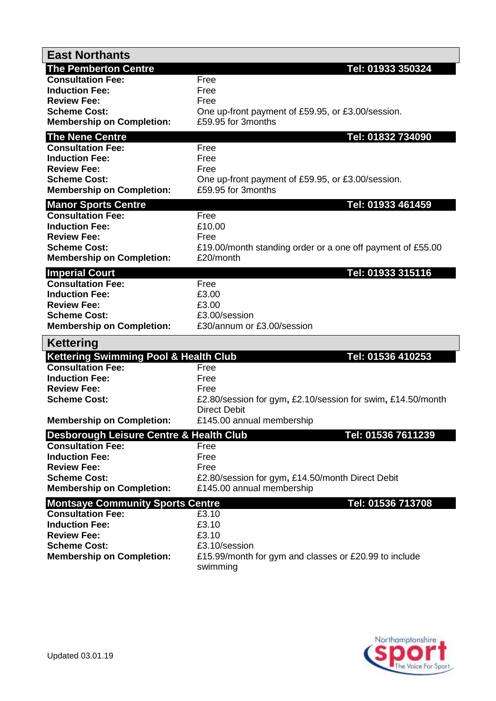| <b>East Northants</b>                                   |                                                                                    |
|---------------------------------------------------------|------------------------------------------------------------------------------------|
| <b>The Pemberton Centre</b>                             | Tel: 01933 350324                                                                  |
| <b>Consultation Fee:</b>                                | Free                                                                               |
| <b>Induction Fee:</b><br><b>Review Fee:</b>             | Free<br>Free                                                                       |
| <b>Scheme Cost:</b>                                     | One up-front payment of £59.95, or £3.00/session.                                  |
| <b>Membership on Completion:</b>                        | £59.95 for 3months                                                                 |
| <b>The Nene Centre</b>                                  | Tel: 01832 734090                                                                  |
| <b>Consultation Fee:</b>                                | Free                                                                               |
| <b>Induction Fee:</b>                                   | Free                                                                               |
| <b>Review Fee:</b><br><b>Scheme Cost:</b>               | Free<br>One up-front payment of £59.95, or £3.00/session.                          |
| <b>Membership on Completion:</b>                        | £59.95 for 3months                                                                 |
| <b>Manor Sports Centre</b>                              | Tel: 01933 461459                                                                  |
| <b>Consultation Fee:</b>                                | Free                                                                               |
| <b>Induction Fee:</b>                                   | £10.00                                                                             |
| <b>Review Fee:</b>                                      | Free                                                                               |
| <b>Scheme Cost:</b><br><b>Membership on Completion:</b> | £19.00/month standing order or a one off payment of £55.00<br>£20/month            |
|                                                         |                                                                                    |
| <b>Imperial Court</b><br><b>Consultation Fee:</b>       | Tel: 01933 315116<br>Free                                                          |
| <b>Induction Fee:</b>                                   | £3.00                                                                              |
| <b>Review Fee:</b>                                      | £3.00                                                                              |
| <b>Scheme Cost:</b>                                     | £3.00/session                                                                      |
| <b>Membership on Completion:</b>                        | £30/annum or £3.00/session                                                         |
| <b>Kettering</b>                                        |                                                                                    |
|                                                         |                                                                                    |
| <b>Kettering Swimming Pool &amp; Health Club</b>        | Tel: 01536 410253                                                                  |
| <b>Consultation Fee:</b>                                | Free                                                                               |
| <b>Induction Fee:</b>                                   | Free                                                                               |
| <b>Review Fee:</b><br><b>Scheme Cost:</b>               | Free                                                                               |
|                                                         | £2.80/session for gym, £2.10/session for swim, £14.50/month<br><b>Direct Debit</b> |
| <b>Membership on Completion:</b>                        | £145.00 annual membership                                                          |
| <b>Desborough Leisure Centre &amp; Health Club</b>      | Tel: 01536 7611239                                                                 |
| <b>Consultation Fee:</b>                                | Free                                                                               |
| <b>Induction Fee:</b>                                   | Free                                                                               |
| <b>Review Fee:</b><br><b>Scheme Cost:</b>               | Free                                                                               |
| <b>Membership on Completion:</b>                        | £2.80/session for gym, £14.50/month Direct Debit<br>£145.00 annual membership      |
| <b>Montsaye Community Sports Centre</b>                 | Tel: 01536 713708                                                                  |
| <b>Consultation Fee:</b>                                | £3.10                                                                              |
| <b>Induction Fee:</b>                                   | £3.10                                                                              |
| <b>Review Fee:</b>                                      | £3.10                                                                              |
| <b>Scheme Cost:</b><br><b>Membership on Completion:</b> | £3.10/session<br>£15.99/month for gym and classes or £20.99 to include             |

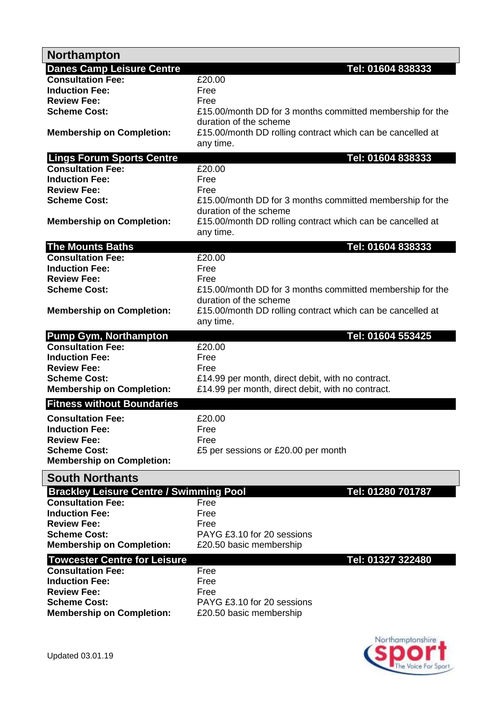| <b>Northampton</b>                                |                                                                                      |
|---------------------------------------------------|--------------------------------------------------------------------------------------|
| <b>Danes Camp Leisure Centre</b>                  | Tel: 01604 838333                                                                    |
| <b>Consultation Fee:</b>                          | £20.00                                                                               |
| <b>Induction Fee:</b>                             | Free                                                                                 |
| <b>Review Fee:</b>                                | Free                                                                                 |
| <b>Scheme Cost:</b>                               | £15.00/month DD for 3 months committed membership for the                            |
| <b>Membership on Completion:</b>                  | duration of the scheme<br>£15.00/month DD rolling contract which can be cancelled at |
|                                                   | any time.                                                                            |
| <b>Lings Forum Sports Centre</b>                  | Tel: 01604 838333                                                                    |
| <b>Consultation Fee:</b>                          | £20.00                                                                               |
| <b>Induction Fee:</b>                             | Free                                                                                 |
| <b>Review Fee:</b>                                | Free                                                                                 |
| <b>Scheme Cost:</b>                               | £15.00/month DD for 3 months committed membership for the                            |
|                                                   | duration of the scheme                                                               |
| <b>Membership on Completion:</b>                  | £15.00/month DD rolling contract which can be cancelled at<br>any time.              |
| <b>The Mounts Baths</b>                           | Tel: 01604 838333                                                                    |
| <b>Consultation Fee:</b>                          | £20.00                                                                               |
| <b>Induction Fee:</b>                             | Free                                                                                 |
| <b>Review Fee:</b>                                | Free                                                                                 |
| <b>Scheme Cost:</b>                               | £15.00/month DD for 3 months committed membership for the                            |
|                                                   | duration of the scheme                                                               |
| <b>Membership on Completion:</b>                  | £15.00/month DD rolling contract which can be cancelled at                           |
|                                                   | any time.                                                                            |
| <b>Pump Gym, Northampton</b>                      | Tel: 01604 553425                                                                    |
| <b>Consultation Fee:</b>                          | £20.00                                                                               |
| <b>Induction Fee:</b>                             | Free                                                                                 |
| <b>Review Fee:</b>                                | Free                                                                                 |
| <b>Scheme Cost:</b>                               | £14.99 per month, direct debit, with no contract.                                    |
| <b>Membership on Completion:</b>                  | £14.99 per month, direct debit, with no contract.                                    |
| <b>Fitness without Boundaries</b>                 |                                                                                      |
| <b>Consultation Fee:</b>                          | £20.00                                                                               |
| <b>Induction Fee:</b>                             | Free                                                                                 |
| <b>Review Fee:</b>                                | Free                                                                                 |
| <b>Scheme Cost:</b>                               | £5 per sessions or £20.00 per month                                                  |
| <b>Membership on Completion:</b>                  |                                                                                      |
| <b>South Northants</b>                            |                                                                                      |
| <b>Brackley Leisure Centre / Swimming Pool</b>    | Tel: 01280 701787                                                                    |
| <b>Consultation Fee:</b>                          | Free                                                                                 |
| <b>Induction Fee:</b>                             | Free                                                                                 |
| <b>Review Fee:</b>                                | Free                                                                                 |
| <b>Scheme Cost:</b>                               | PAYG £3.10 for 20 sessions                                                           |
| <b>Membership on Completion:</b>                  | £20.50 basic membership                                                              |
|                                                   |                                                                                      |
| <b>Towcester Centre for Leisure</b>               | Tel: 01327 322480                                                                    |
| <b>Consultation Fee:</b><br><b>Induction Fee:</b> | Free                                                                                 |
| <b>Review Fee:</b>                                | Free                                                                                 |
| <b>Scheme Cost:</b>                               | Free<br>PAYG £3.10 for 20 sessions                                                   |
|                                                   |                                                                                      |
| <b>Membership on Completion:</b>                  | £20.50 basic membership                                                              |
|                                                   |                                                                                      |